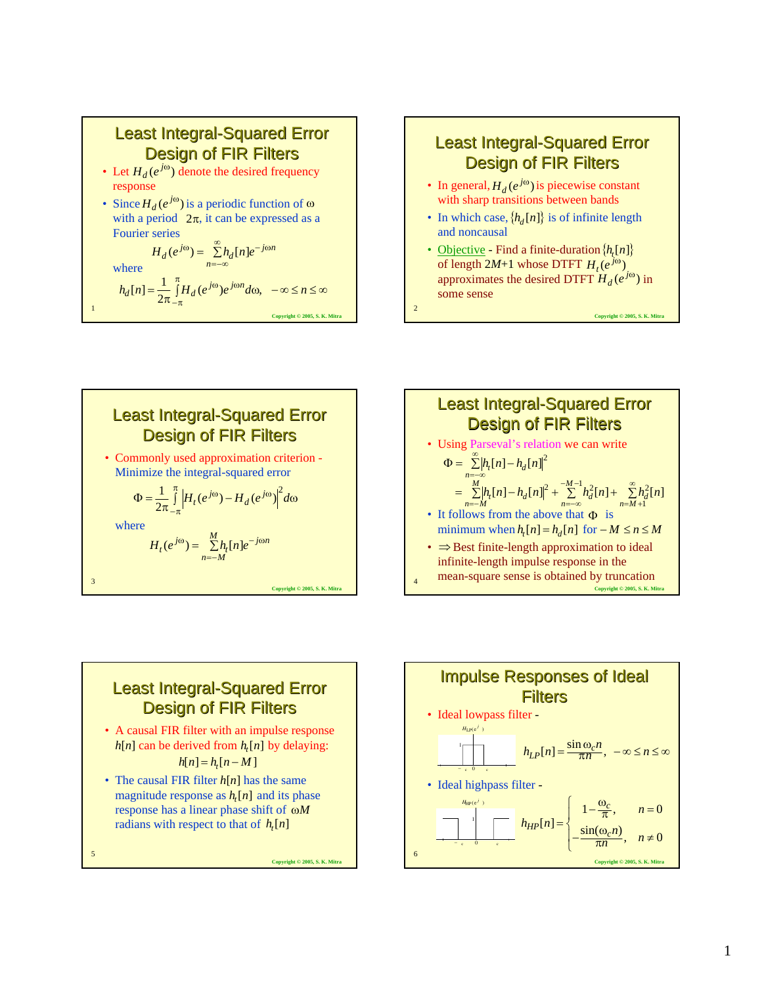

### Least Integral-Squared Error **Design of FIR Filters**

- In general,  $H_d(e^{j\omega})$  is piecewise constant with sharp transitions between bands
- In which case,  $\{h_d[n]\}$  is of infinite length and noncausal
- Objective Find a finite-duration  $\{h_t[n]\}$ of length  $2M+1$  whose DTFT  $H_t(e^{j\omega})$ approximates the desired DTFT  $H_d(e^{j\omega})$  in some sense

**Copyright © 2005, S. K. Mitra**

2





# Least Integral-Squared Error **Design of FIR Filters**

• A causal FIR filter with an impulse response  $h[n]$  can be derived from  $h<sub>i</sub>[n]$  by delaying:

#### $h[n] = h$ <sub>[</sub> $n - M$ ]

• The causal FIR filter *h*[*n*] has the same magnitude response as  $h_t[n]$  and its phase response has a linear phase shift of ω*M* radians with respect to that of  $h_t[n]$ 

**Copyright © 2005, S. K. Mitra**

5

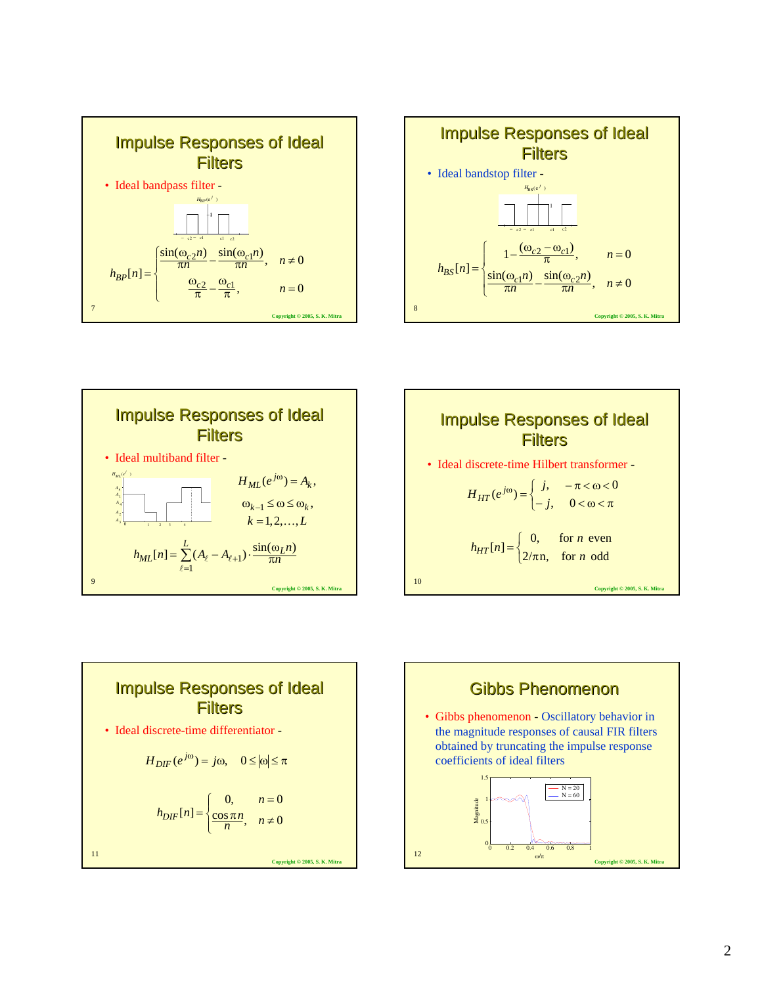









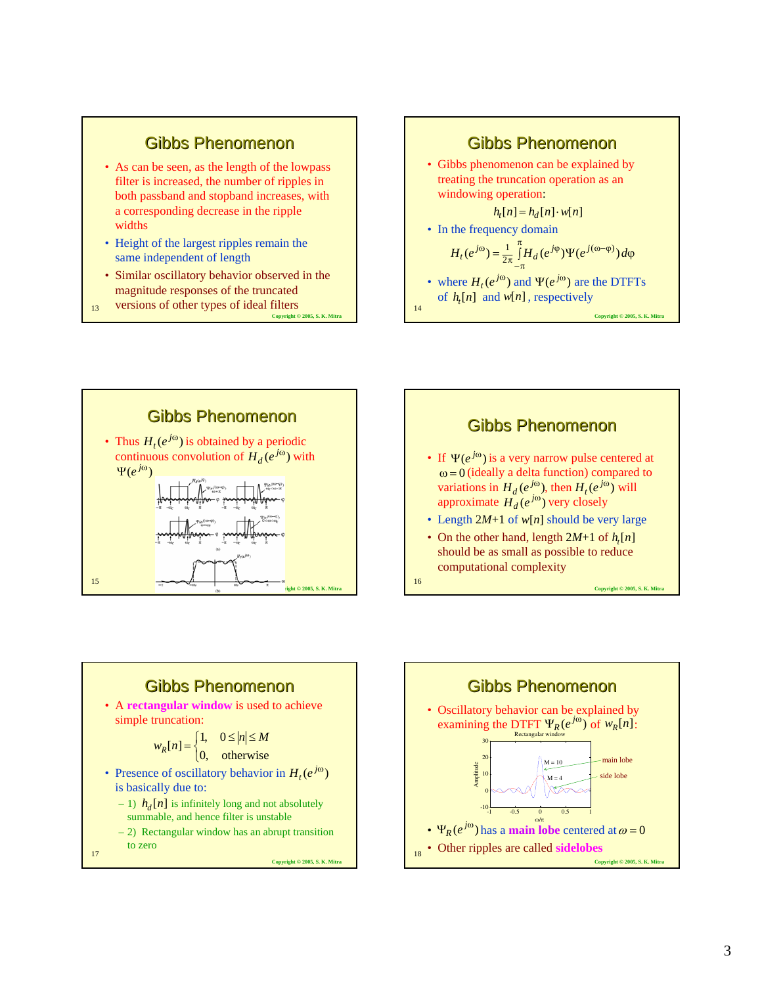### Gibbs Phenomenon

- As can be seen, as the length of the lowpass filter is increased, the number of ripples in both passband and stopband increases, with a corresponding decrease in the ripple widths
- Height of the largest ripples remain the same independent of length
- Similar oscillatory behavior observed in the magnitude responses of the truncated
- 13 **Copyright © 2005, S. K. Mitra** versions of other types of ideal filters <sup>14</sup>

#### Gibbs Phenomenon • Gibbs phenomenon can be explained by treating the truncation operation as an windowing operation: • In the frequency domain  $h_t[n] = h_d[n] \cdot w[n]$  $=\frac{1}{2\pi}\int\limits_{-\pi}^{\pi}H_{d}(e^{j\varphi})\Psi(e^{j(\omega-\varphi)})d\varphi$  $\phi_{\rm MLO}$   $j(\omega-\phi)$  $H_t(e^{j\omega}) = \frac{1}{2\pi} \int d^2y \, d^2y \, \Psi(e^{j(\omega-\varphi)}) \, d^2y$ 1

• where 
$$
H_t(e^{j\omega})
$$
 and  $\Psi(e^{j\omega})$  are the DTFTs  
of  $h_t[n]$  and  $w[n]$ , respectively

**Copyright © 2005, S. K. Mitra**

**Copyright © 2005, S. K. Mitra**



## Gibbs Phenomenon

- If  $\Psi(e^{j\omega})$  is a very narrow pulse centered at  $\omega = 0$  (ideally a delta function) compared to variations in  $H_d(e^{j\omega})$ , then  $H_t(e^{j\omega})$  will approximate  $H_d^{\bullet}(e^{j\omega})$  very closely
- Length 2*M*+1 of *w*[*n*] should be very large
- On the other hand, length  $2M+1$  of  $h_t[n]$ should be as small as possible to reduce computational complexity

16



- summable, and hence filter is unstable
- 2) Rectangular window has an abrupt transition to zero

17